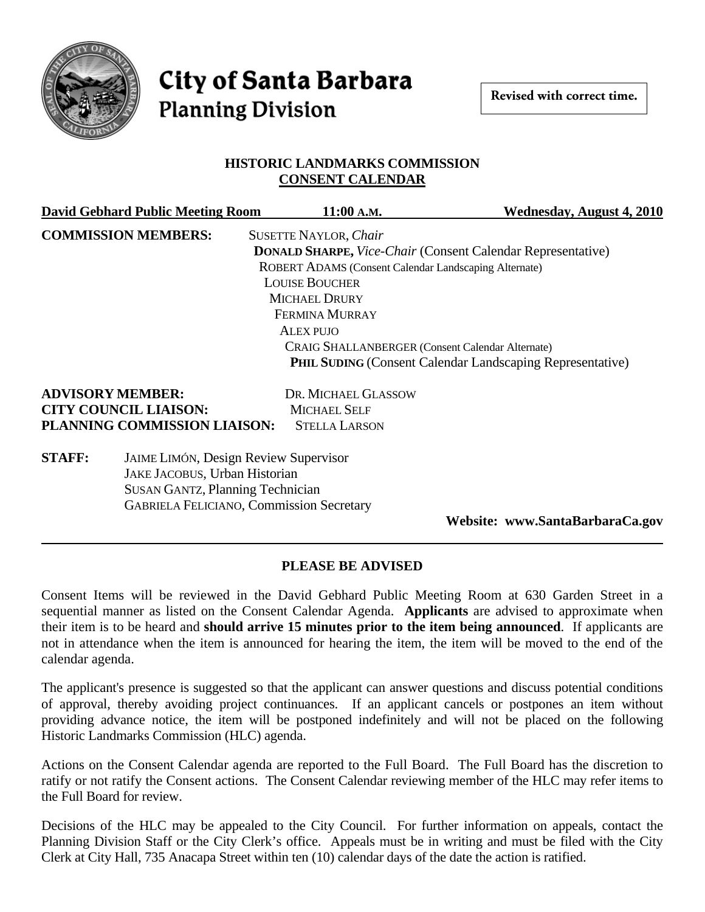

# **City of Santa Barbara Planning Division**

#### **HISTORIC LANDMARKS COMMISSION CONSENT CALENDAR**

| <b>David Gebhard Public Meeting Room</b>                      | 11:00 A.M.                                                         | Wednesday, August 4, 2010                                        |
|---------------------------------------------------------------|--------------------------------------------------------------------|------------------------------------------------------------------|
| <b>COMMISSION MEMBERS:</b>                                    | <b>SUSETTE NAYLOR, Chair</b>                                       |                                                                  |
|                                                               | <b>DONALD SHARPE, Vice-Chair (Consent Calendar Representative)</b> |                                                                  |
|                                                               | ROBERT ADAMS (Consent Calendar Landscaping Alternate)              |                                                                  |
|                                                               | <b>LOUISE BOUCHER</b>                                              |                                                                  |
|                                                               | <b>MICHAEL DRURY</b>                                               |                                                                  |
|                                                               | <b>FERMINA MURRAY</b>                                              |                                                                  |
|                                                               | ALEX PUJO                                                          |                                                                  |
|                                                               | <b>CRAIG SHALLANBERGER (Consent Calendar Alternate)</b>            |                                                                  |
|                                                               |                                                                    | <b>PHIL SUDING (Consent Calendar Landscaping Representative)</b> |
| <b>ADVISORY MEMBER:</b>                                       | DR. MICHAEL GLASSOW                                                |                                                                  |
| <b>CITY COUNCIL LIAISON:</b>                                  | <b>MICHAEL SELF</b>                                                |                                                                  |
| PLANNING COMMISSION LIAISON:                                  | <b>STELLA LARSON</b>                                               |                                                                  |
| <b>STAFF:</b><br><b>JAIME LIMÓN, Design Review Supervisor</b> |                                                                    |                                                                  |
| JAKE JACOBUS, Urban Historian                                 |                                                                    |                                                                  |
| <b>SUSAN GANTZ, Planning Technician</b>                       |                                                                    |                                                                  |
| <b>GABRIELA FELICIANO, Commission Secretary</b>               |                                                                    |                                                                  |

**Website: www.SantaBarbaraCa.gov** 

## **PLEASE BE ADVISED**

Consent Items will be reviewed in the David Gebhard Public Meeting Room at 630 Garden Street in a sequential manner as listed on the Consent Calendar Agenda. **Applicants** are advised to approximate when their item is to be heard and **should arrive 15 minutes prior to the item being announced**. If applicants are not in attendance when the item is announced for hearing the item, the item will be moved to the end of the calendar agenda.

The applicant's presence is suggested so that the applicant can answer questions and discuss potential conditions of approval, thereby avoiding project continuances. If an applicant cancels or postpones an item without providing advance notice, the item will be postponed indefinitely and will not be placed on the following Historic Landmarks Commission (HLC) agenda.

Actions on the Consent Calendar agenda are reported to the Full Board. The Full Board has the discretion to ratify or not ratify the Consent actions. The Consent Calendar reviewing member of the HLC may refer items to the Full Board for review.

Decisions of the HLC may be appealed to the City Council. For further information on appeals, contact the Planning Division Staff or the City Clerk's office. Appeals must be in writing and must be filed with the City Clerk at City Hall, 735 Anacapa Street within ten (10) calendar days of the date the action is ratified.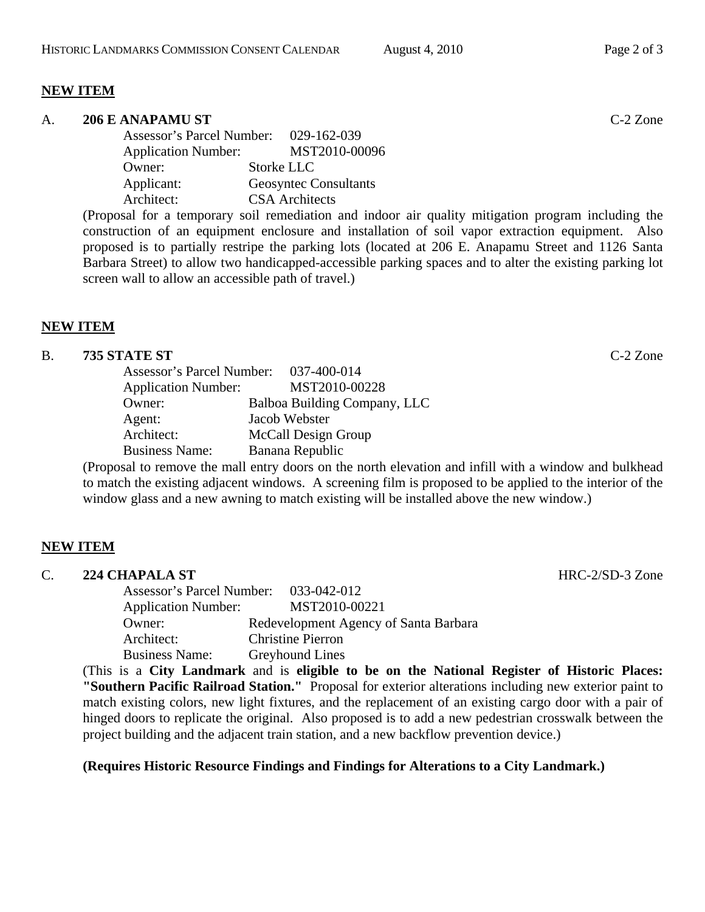#### **NEW ITEM**

## A. **206 E ANAPAMU ST** C-2 Zone Assessor's Parcel Number: 029-162-039 Application Number: MST2010-00096 Owner: Storke LLC Applicant: Geosyntec Consultants Architect: CSA Architects

(Proposal for a temporary soil remediation and indoor air quality mitigation program including the construction of an equipment enclosure and installation of soil vapor extraction equipment. Also proposed is to partially restripe the parking lots (located at 206 E. Anapamu Street and 1126 Santa Barbara Street) to allow two handicapped-accessible parking spaces and to alter the existing parking lot screen wall to allow an accessible path of travel.)

## **NEW ITEM**

## B. **735 STATE ST** C-2 Zone

| <b>Assessor's Parcel Number:</b> |  | 037-400-014                  |
|----------------------------------|--|------------------------------|
| <b>Application Number:</b>       |  | MST2010-00228                |
| Owner:                           |  | Balboa Building Company, LLC |
| Agent:                           |  | Jacob Webster                |
| Architect:                       |  | McCall Design Group          |
| <b>Business Name:</b>            |  | Banana Republic              |
|                                  |  |                              |

(Proposal to remove the mall entry doors on the north elevation and infill with a window and bulkhead to match the existing adjacent windows. A screening film is proposed to be applied to the interior of the window glass and a new awning to match existing will be installed above the new window.)

## **NEW ITEM**

| . . | -----------------                |                                       |
|-----|----------------------------------|---------------------------------------|
|     | <b>Assessor's Parcel Number:</b> | 033-042-012                           |
|     | <b>Application Number:</b>       | MST2010-00221                         |
|     | Owner:                           | Redevelopment Agency of Santa Barbara |
|     | Architect:                       | <b>Christine Pierron</b>              |
|     | <b>Business Name:</b>            | <b>Greyhound Lines</b>                |

(This is a **City Landmark** and is **eligible to be on the National Register of Historic Places: "Southern Pacific Railroad Station."** Proposal for exterior alterations including new exterior paint to match existing colors, new light fixtures, and the replacement of an existing cargo door with a pair of hinged doors to replicate the original. Also proposed is to add a new pedestrian crosswalk between the project building and the adjacent train station, and a new backflow prevention device.)

## **(Requires Historic Resource Findings and Findings for Alterations to a City Landmark.)**

C. **224 CHAPALA ST** HRC-2/SD-3 Zone